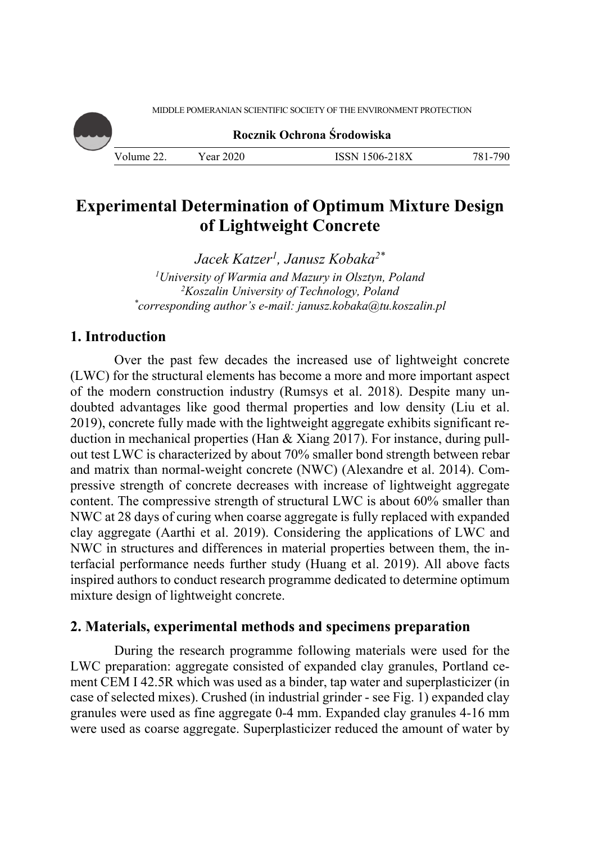MIDDLE POMERANIAN SCIENTIFIC SOCIETY OF THE ENVIRONMENT PROTECTION

**Rocznik Ochrona Środowiska**

Volume 22. Year 2020 ISSN 1506-218X 781-790

# **Experimental Determination of Optimum Mixture Design of Lightweight Concrete**

*Jacek Katzer1, Janusz Kobaka2\**

*1 University of Warmia and Mazury in Olsztyn, Poland 2 Koszalin University of Technology, Poland \* corresponding author's e-mail: janusz.kobaka@tu.koszalin.pl* 

# **1. Introduction**

Over the past few decades the increased use of lightweight concrete (LWC) for the structural elements has become a more and more important aspect of the modern construction industry (Rumsys et al. 2018). Despite many undoubted advantages like good thermal properties and low density (Liu et al. 2019), concrete fully made with the lightweight aggregate exhibits significant reduction in mechanical properties (Han & Xiang 2017). For instance, during pullout test LWC is characterized by about 70% smaller bond strength between rebar and matrix than normal-weight concrete (NWC) (Alexandre et al. 2014). Compressive strength of concrete decreases with increase of lightweight aggregate content. The compressive strength of structural LWC is about 60% smaller than NWC at 28 days of curing when coarse aggregate is fully replaced with expanded clay aggregate (Aarthi et al. 2019). Considering the applications of LWC and NWC in structures and differences in material properties between them, the interfacial performance needs further study (Huang et al. 2019). All above facts inspired authors to conduct research programme dedicated to determine optimum mixture design of lightweight concrete.

## **2. Materials, experimental methods and specimens preparation**

During the research programme following materials were used for the LWC preparation: aggregate consisted of expanded clay granules, Portland cement CEM I 42.5R which was used as a binder, tap water and superplasticizer (in case of selected mixes). Crushed (in industrial grinder - see Fig. 1) expanded clay granules were used as fine aggregate 0-4 mm. Expanded clay granules 4-16 mm were used as coarse aggregate. Superplasticizer reduced the amount of water by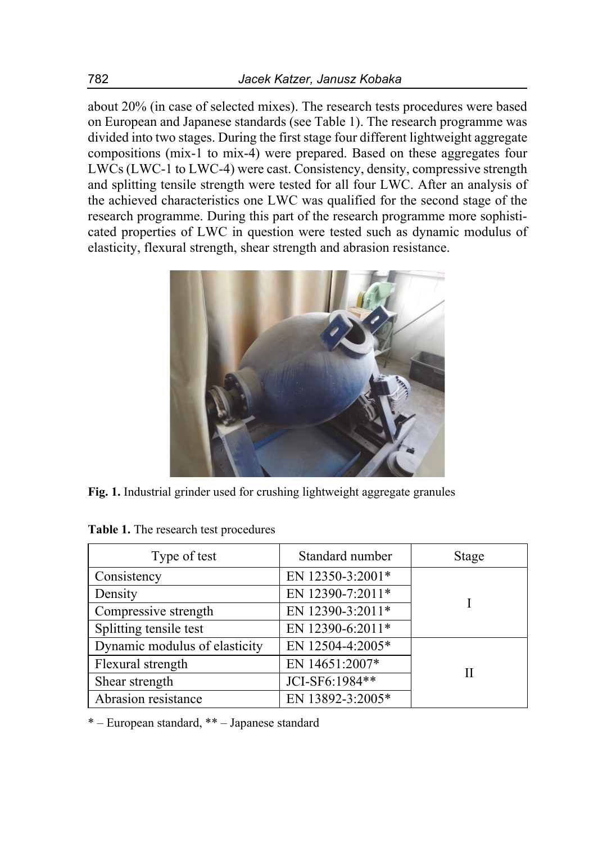about 20% (in case of selected mixes). The research tests procedures were based on European and Japanese standards (see Table 1). The research programme was divided into two stages. During the first stage four different lightweight aggregate compositions (mix-1 to mix-4) were prepared. Based on these aggregates four LWCs (LWC-1 to LWC-4) were cast. Consistency, density, compressive strength and splitting tensile strength were tested for all four LWC. After an analysis of the achieved characteristics one LWC was qualified for the second stage of the research programme. During this part of the research programme more sophisticated properties of LWC in question were tested such as dynamic modulus of elasticity, flexural strength, shear strength and abrasion resistance.



**Fig. 1.** Industrial grinder used for crushing lightweight aggregate granules

| Type of test                  | Standard number  | Stage |
|-------------------------------|------------------|-------|
| Consistency                   | EN 12350-3:2001* |       |
| Density                       | EN 12390-7:2011* |       |
| Compressive strength          | EN 12390-3:2011* |       |
| Splitting tensile test        | EN 12390-6:2011* |       |
| Dynamic modulus of elasticity | EN 12504-4:2005* |       |
| Flexural strength             | EN 14651:2007*   | Н     |
| Shear strength                | JCI-SF6:1984**   |       |
| Abrasion resistance           | EN 13892-3:2005* |       |

**Table 1.** The research test procedures

\* – European standard, \*\* – Japanese standard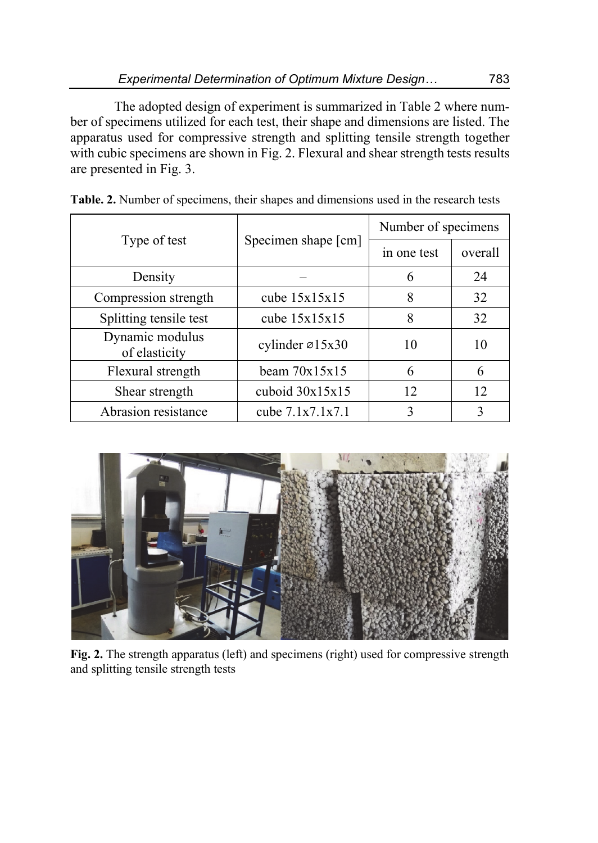The adopted design of experiment is summarized in Table 2 where number of specimens utilized for each test, their shape and dimensions are listed. The apparatus used for compressive strength and splitting tensile strength together with cubic specimens are shown in Fig. 2. Flexural and shear strength tests results are presented in Fig. 3.

|                                  |                              | Number of specimens |         |  |
|----------------------------------|------------------------------|---------------------|---------|--|
| Type of test                     | Specimen shape [cm]          | in one test         | overall |  |
| Density                          |                              | 6                   | 24      |  |
| Compression strength             | cube $15x15x15$              | 8                   | 32      |  |
| Splitting tensile test           | cube $15x15x15$              | 8                   | 32      |  |
| Dynamic modulus<br>of elasticity | cylinder $\varnothing$ 15x30 | 10                  | 10      |  |
| Flexural strength                | beam $70x15x15$              | 6                   | 6       |  |
| Shear strength                   | cuboid $30x15x15$            | 12                  | 12      |  |
| Abrasion resistance              | cube $7.1x7.1x7.1$           | 3                   | 3       |  |

**Table. 2.** Number of specimens, their shapes and dimensions used in the research tests



**Fig. 2.** The strength apparatus (left) and specimens (right) used for compressive strength and splitting tensile strength tests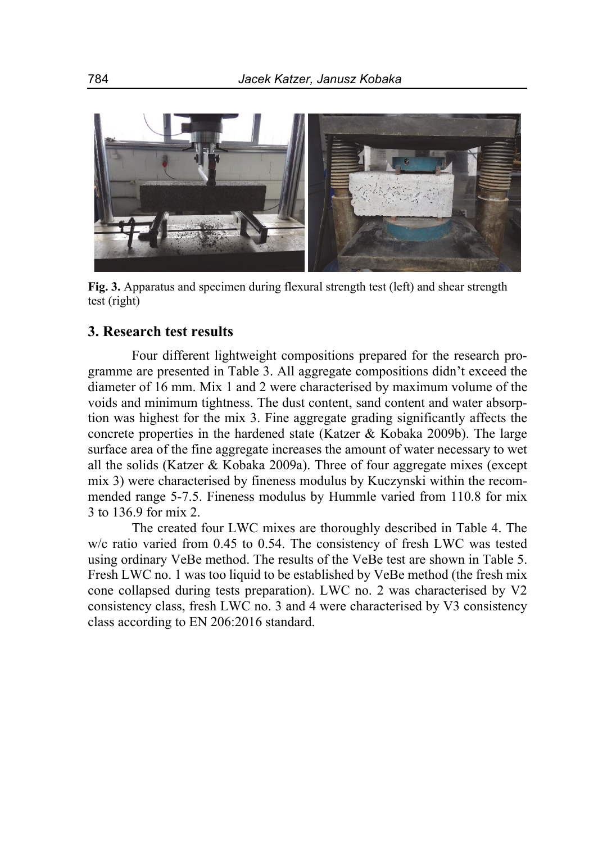

**Fig. 3.** Apparatus and specimen during flexural strength test (left) and shear strength test (right)

# **3. Research test results**

Four different lightweight compositions prepared for the research programme are presented in Table 3. All aggregate compositions didn't exceed the diameter of 16 mm. Mix 1 and 2 were characterised by maximum volume of the voids and minimum tightness. The dust content, sand content and water absorption was highest for the mix 3. Fine aggregate grading significantly affects the concrete properties in the hardened state (Katzer & Kobaka 2009b). The large surface area of the fine aggregate increases the amount of water necessary to wet all the solids (Katzer & Kobaka 2009a). Three of four aggregate mixes (except mix 3) were characterised by fineness modulus by Kuczynski within the recommended range 5-7.5. Fineness modulus by Hummle varied from 110.8 for mix 3 to 136.9 for mix 2.

The created four LWC mixes are thoroughly described in Table 4. The w/c ratio varied from 0.45 to 0.54. The consistency of fresh LWC was tested using ordinary VeBe method. The results of the VeBe test are shown in Table 5. Fresh LWC no. 1 was too liquid to be established by VeBe method (the fresh mix cone collapsed during tests preparation). LWC no. 2 was characterised by V2 consistency class, fresh LWC no. 3 and 4 were characterised by V3 consistency class according to EN 206:2016 standard.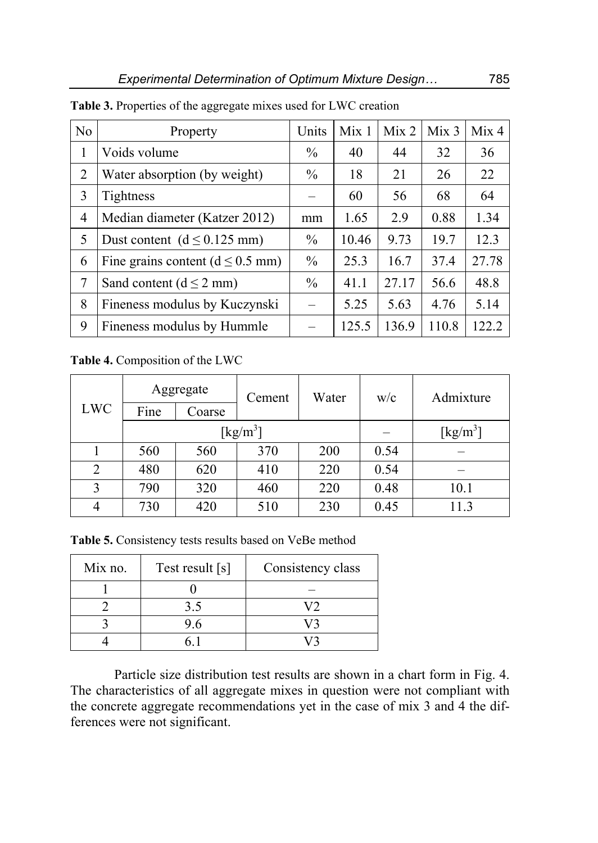| N <sub>o</sub> | Property                              | Units         | Mix <sub>1</sub> | Mix <sub>2</sub> | Mix <sub>3</sub> | Mix 4 |
|----------------|---------------------------------------|---------------|------------------|------------------|------------------|-------|
| 1              | Voids volume                          | $\frac{0}{0}$ | 40               | 44               | 32               | 36    |
| $\overline{2}$ | Water absorption (by weight)          | $\%$          | 18               | 21               | 26               | 22    |
| 3              | Tightness                             |               | 60               | 56               | 68               | 64    |
| 4              | Median diameter (Katzer 2012)         |               | 1.65             | 2.9              | 0.88             | 1.34  |
| 5              | Dust content $(d \le 0.125$ mm)       | $\frac{0}{0}$ | 10.46            | 9.73             | 19.7             | 12.3  |
| 6              | Fine grains content ( $d \le 0.5$ mm) | $\%$          | 25.3             | 16.7             | 37.4             | 27.78 |
| 7              | Sand content ( $d \le 2$ mm)          | $\%$          | 41.1             | 27.17            | 56.6             | 48.8  |
| 8              | Fineness modulus by Kuczynski         |               | 5.25             | 5.63             | 4.76             | 5.14  |
| 9              | Fineness modulus by Hummle            |               | 125.5            | 136.9            | 110.8            | 122.2 |

**Table 3.** Properties of the aggregate mixes used for LWC creation

**Table 4.** Composition of the LWC

| <b>LWC</b> | Aggregate<br>Cement<br>Fine<br>Coarse |     |     | Water | w/c  | Admixture                      |
|------------|---------------------------------------|-----|-----|-------|------|--------------------------------|
|            |                                       |     |     |       |      |                                |
|            | $\left[\mathrm{kg/m^3}\right]$        |     |     |       |      | $\left[\mathrm{kg/m^3}\right]$ |
|            | 560                                   | 560 | 370 | 200   | 0.54 |                                |
| 2          | 480                                   | 620 | 410 | 220   | 0.54 |                                |
| 3          | 790                                   | 320 | 460 | 220   | 0.48 | 10.1                           |
| 4          | 730                                   | 420 | 510 | 230   | 0.45 | 11.3                           |

Table 5. Consistency tests results based on VeBe method

| Mix no. | Test result [s] | Consistency class |
|---------|-----------------|-------------------|
|         |                 |                   |
|         | 3.5             |                   |
|         | 9.6             |                   |
|         |                 |                   |

Particle size distribution test results are shown in a chart form in Fig. 4. The characteristics of all aggregate mixes in question were not compliant with the concrete aggregate recommendations yet in the case of mix 3 and 4 the differences were not significant.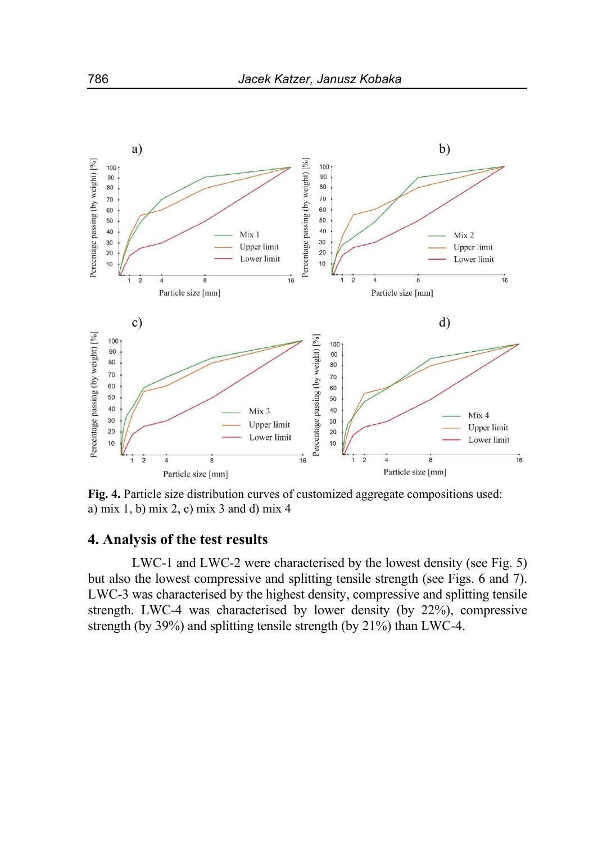

**Fig. 4.** Particle size distribution curves of customized aggregate compositions used: a) mix 1, b) mix 2, c) mix 3 and d) mix 4

# **4. Analysis of the test results**

LWC-1 and LWC-2 were characterised by the lowest density (see Fig. 5) but also the lowest compressive and splitting tensile strength (see Figs. 6 and 7). LWC-3 was characterised by the highest density, compressive and splitting tensile strength. LWC-4 was characterised by lower density (by 22%), compressive strength (by 39%) and splitting tensile strength (by 21%) than LWC-4.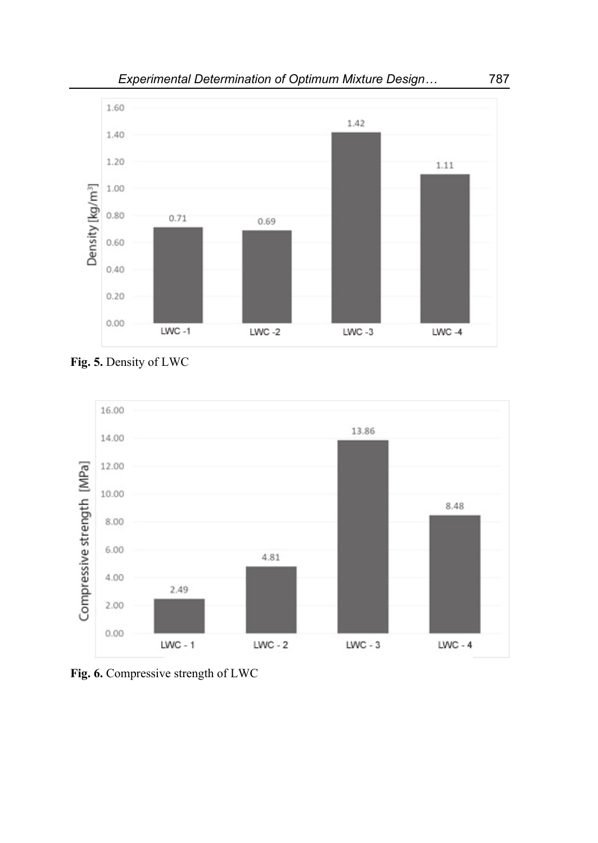

**Fig. 5.** Density of LWC



**Fig. 6.** Compressive strength of LWC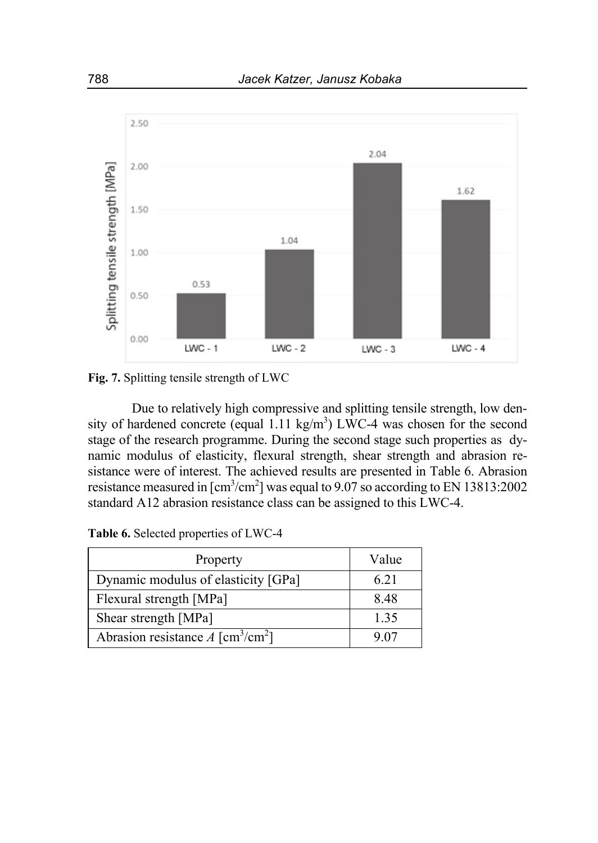

**Fig. 7.** Splitting tensile strength of LWC

Due to relatively high compressive and splitting tensile strength, low density of hardened concrete (equal  $1.11 \text{ kg/m}^3$ ) LWC-4 was chosen for the second stage of the research programme. During the second stage such properties as dynamic modulus of elasticity, flexural strength, shear strength and abrasion resistance were of interest. The achieved results are presented in Table 6. Abrasion resistance measured in  $\text{[cm}^3/\text{cm}^2\text{]}$  was equal to 9.07 so according to EN 13813:2002 standard A12 abrasion resistance class can be assigned to this LWC-4.

**Table 6.** Selected properties of LWC-4

| Property                                              | Value |
|-------------------------------------------------------|-------|
| Dynamic modulus of elasticity [GPa]                   | 6.21  |
| Flexural strength [MPa]                               | 8.48  |
| Shear strength [MPa]                                  | 1.35  |
| Abrasion resistance $A \sim \text{[cm}^3/\text{cm}^2$ | 9.07  |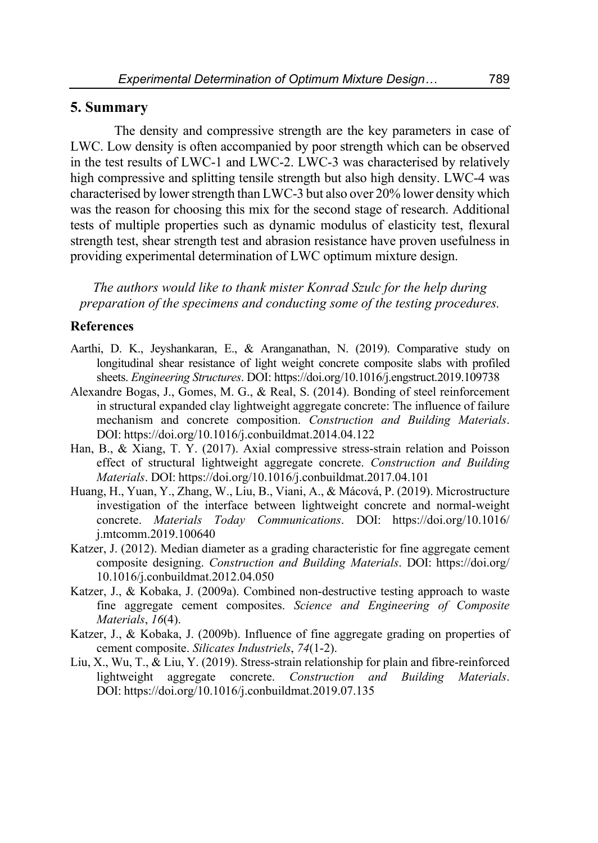## **5. Summary**

The density and compressive strength are the key parameters in case of LWC. Low density is often accompanied by poor strength which can be observed in the test results of LWC-1 and LWC-2. LWC-3 was characterised by relatively high compressive and splitting tensile strength but also high density. LWC-4 was characterised by lower strength than LWC-3 but also over 20% lower density which was the reason for choosing this mix for the second stage of research. Additional tests of multiple properties such as dynamic modulus of elasticity test, flexural strength test, shear strength test and abrasion resistance have proven usefulness in providing experimental determination of LWC optimum mixture design.

*The authors would like to thank mister Konrad Szulc for the help during preparation of the specimens and conducting some of the testing procedures.* 

## **References**

- Aarthi, D. K., Jeyshankaran, E., & Aranganathan, N. (2019). Comparative study on longitudinal shear resistance of light weight concrete composite slabs with profiled sheets. *Engineering Structures*. DOI: https://doi.org/10.1016/j.engstruct.2019.109738
- Alexandre Bogas, J., Gomes, M. G., & Real, S. (2014). Bonding of steel reinforcement in structural expanded clay lightweight aggregate concrete: The influence of failure mechanism and concrete composition. *Construction and Building Materials*. DOI: https://doi.org/10.1016/j.conbuildmat.2014.04.122
- Han, B., & Xiang, T. Y. (2017). Axial compressive stress-strain relation and Poisson effect of structural lightweight aggregate concrete. *Construction and Building Materials*. DOI: https://doi.org/10.1016/j.conbuildmat.2017.04.101
- Huang, H., Yuan, Y., Zhang, W., Liu, B., Viani, A., & Mácová, P. (2019). Microstructure investigation of the interface between lightweight concrete and normal-weight concrete. *Materials Today Communications*. DOI: https://doi.org/10.1016/ j.mtcomm.2019.100640
- Katzer, J. (2012). Median diameter as a grading characteristic for fine aggregate cement composite designing. *Construction and Building Materials*. DOI: https://doi.org/ 10.1016/j.conbuildmat.2012.04.050
- Katzer, J., & Kobaka, J. (2009a). Combined non-destructive testing approach to waste fine aggregate cement composites. *Science and Engineering of Composite Materials*, *16*(4).
- Katzer, J., & Kobaka, J. (2009b). Influence of fine aggregate grading on properties of cement composite. *Silicates Industriels*, *74*(1-2).
- Liu, X., Wu, T., & Liu, Y. (2019). Stress-strain relationship for plain and fibre-reinforced lightweight aggregate concrete. *Construction and Building Materials*. DOI: https://doi.org/10.1016/j.conbuildmat.2019.07.135